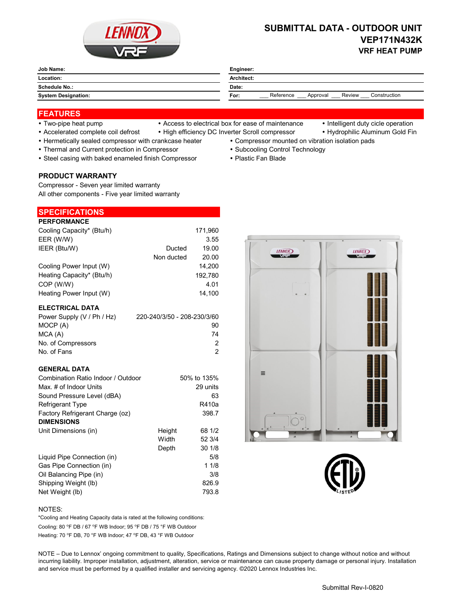

## **SUBMITTAL DATA - OUTDOOR UNIT VEP171N432K VRF HEAT PUMP**

| Job Name:<br>_______       | Engineer:                                               |  |  |
|----------------------------|---------------------------------------------------------|--|--|
| Location:                  | Architect:                                              |  |  |
| Schedule No.:              | Date:                                                   |  |  |
| <b>System Designation:</b> | Reference<br>Construction<br>Review<br>For:<br>Approval |  |  |

### **FEATURES**

- 
- Two-pipe heat pump Access to electrical box for ease of maintenance Intelligent duty cicle operation
	-
- Accelerated complete coil defrost High efficiency DC Inverter Scroll compressor Hydrophilic Aluminum Gold Fin
- Hermetically sealed compressor with crankcase heater Compressor mounted on vibration isolation pads
	-
	-
- Thermal and Current protection in Compressor **Subcooling Control Technology · Subcooling Control Technology**
- Steel casing with baked enameled finish Compressor Plastic Fan Blade

#### **PRODUCT WARRANTY**

Compressor - Seven year limited warranty All other components - Five year limited warranty

# **SPECIFICATIONS**

| <b>PERFORMANCE</b>        |            |         |
|---------------------------|------------|---------|
| Cooling Capacity* (Btu/h) |            | 171,960 |
| EER (W/W)                 |            | 3.55    |
| IEER (Btu/W)              | Ducted     | 19.00   |
|                           | Non ducted | 20.00   |
| Cooling Power Input (W)   |            | 14.200  |
| Heating Capacity* (Btu/h) |            | 192,780 |
| COP (W/W)                 |            | 4.01    |
| Heating Power Input (W)   |            | 14.100  |

#### **ELECTRICAL DATA**

| 220-240/3/50 - 208-230/3/60 |
|-----------------------------|
| 90                          |
| 74                          |
| 2                           |
| 2                           |
|                             |

#### **GENERAL DATA**

| Combination Ratio Indoor / Outdoor |        | 50% to 135% |
|------------------------------------|--------|-------------|
| Max. # of Indoor Units             |        | 29 units    |
| Sound Pressure Level (dBA)         |        | 63          |
| <b>Refrigerant Type</b>            |        | R410a       |
| Factory Refrigerant Charge (oz)    |        | 398.7       |
| <b>DIMENSIONS</b>                  |        |             |
| Unit Dimensions (in)               | Height | 68 1/2      |
|                                    | Width  | 52 3/4      |
|                                    | Depth  | 301/8       |
| Liquid Pipe Connection (in)        |        | 5/8         |
| Gas Pipe Connection (in)           |        | 11/8        |
| Oil Balancing Pipe (in)            |        | 3/8         |
| Shipping Weight (lb)               |        | 826.9       |
| Net Weight (lb)                    |        | 793.8       |





#### NOTES:

Cooling: 80 °F DB / 67 °F WB Indoor; 95 °F DB / 75 °F WB Outdoor Heating: 70 °F DB, 70 °F WB Indoor; 47 °F DB, 43 °F WB Outdoor \*Cooling and Heating Capacity data is rated at the following conditions:

NOTE – Due to Lennox' ongoing commitment to quality, Specifications, Ratings and Dimensions subject to change without notice and without incurring liability. Improper installation, adjustment, alteration, service or maintenance can cause property damage or personal injury. Installation and service must be performed by a qualified installer and servicing agency. ©2020 Lennox Industries Inc.